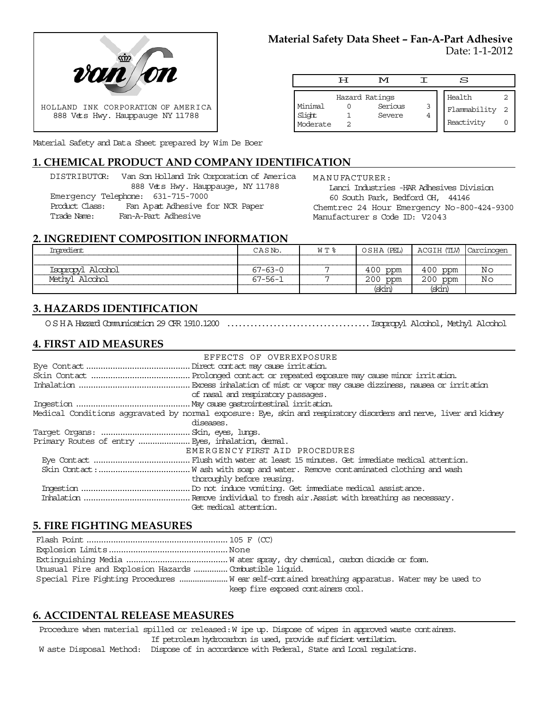

Material Safety and Data Sheet prepared by Wim De Boer

# **1. CHEMICAL PRODUCT AND COMPANY IDENTIFICATION**

DISTRIBUTOR: Van Son Holland Ink Corporation of America 888 Vets Hwy. Hauppauge, NY 11788 Emergency Telephone: 631-715-7000 Product Class: Fan Apat Adhesive for NCR Paper Trade Name: Fan-A-Part Adhesive

**Material Safety Data Sheet – Fan-A-Part Adhesive**

Date: 1-1-2012

|                               | ਸ | M                                   |   | s                                    |  |
|-------------------------------|---|-------------------------------------|---|--------------------------------------|--|
| Minimal<br>Slight<br>Moderate |   | Hazard Ratings<br>Serious<br>Severe | 3 | Health<br>Flammability<br>Reactivity |  |

MANUFACTURER: Lanci Industries -HAR Adhesives Division 60 South Park, Bedford OH, 44146 Chemtrec 24 Hour Emergency No-800-424-9300 Manufacturer s Code ID: V2043

#### **2. INGREDIENT COMPOSITION INFORMATION**

| Imredient         | CASNO.        | W T % | OSHA (PEL) | ACGIH (TLV)   Carcinogen |    |
|-------------------|---------------|-------|------------|--------------------------|----|
|                   |               |       |            |                          |    |
| Isopropyl Alcohol | $67 - 63 - 0$ |       | $400$ ppm  | 400 ppm                  | Νc |
| Methvl Alcohol    | 67-56-1       |       | $200$ ppm  | $200$ ppm                | Νc |
|                   |               |       | (skin)     | (skin                    |    |

# **3. HAZARDS IDENTIFICATION**

OSHA Hazard Communication 29 CFR 1910.1200 .....................................Isopropyl Alcohol, Methyl Alcohol

# **4. FIRST AID MEASURES**

|                                                   | EFFECTS OF OVEREXPOSURE                                                                                           |
|---------------------------------------------------|-------------------------------------------------------------------------------------------------------------------|
|                                                   |                                                                                                                   |
|                                                   |                                                                                                                   |
|                                                   |                                                                                                                   |
|                                                   | of nasal and respiratory passages.                                                                                |
|                                                   |                                                                                                                   |
|                                                   | Medical Conditions aggravated by normal exposure: Eye, skin and respiratory disorders and nerve, liver and kidney |
|                                                   | diseases.                                                                                                         |
|                                                   |                                                                                                                   |
| Primary Routes of entry  Eyes, inhalation, demal. |                                                                                                                   |
|                                                   | EMERGENCY FIRST AID PROCEDURES                                                                                    |
|                                                   |                                                                                                                   |
|                                                   |                                                                                                                   |
|                                                   | thoroughly before reusing.                                                                                        |
|                                                   |                                                                                                                   |
|                                                   |                                                                                                                   |
|                                                   | Get medical attention.                                                                                            |

# **5. FIRE FIGHTING MEASURES**

| Unusual Fire and Explosion Hazards  Combustible liquid. |                                                                                                 |
|---------------------------------------------------------|-------------------------------------------------------------------------------------------------|
|                                                         | Special Fire Fighting Procedures W ear self-contained breathing apparatus. Water may be used to |
|                                                         | keep fire exposed containers cool.                                                              |

# **6. ACCIDENTAL RELEASE MEASURES**

Procedure when material spilled or released: W ipe up. Dispose of wipes in approved waste containers. If petroleum hydrocarbon is used, provide sufficient ventilation.

W aste Disposal Method: Dispose of in accordance with Federal, State and Local regulations.